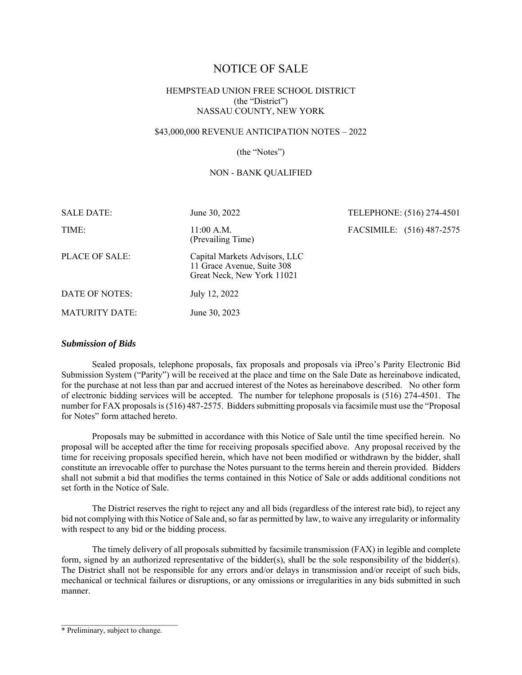# NOTICE OF SALE

## HEMPSTEAD UNION FREE SCHOOL DISTRICT (the "District") NASSAU COUNTY, NEW YORK

## \$43,000,000 REVENUE ANTICIPATION NOTES – 2022

#### (the "Notes")

#### NON - BANK QUALIFIED

| <b>SALE DATE:</b>     | June 30, 2022                                                                             | TELEPHONE: (516) 274-4501 |
|-----------------------|-------------------------------------------------------------------------------------------|---------------------------|
| TIME:                 | $11:00$ A.M.<br>(Prevailing Time)                                                         | FACSIMILE: (516) 487-2575 |
| PLACE OF SALE:        | Capital Markets Advisors, LLC<br>11 Grace Avenue, Suite 308<br>Great Neck, New York 11021 |                           |
| DATE OF NOTES:        | July 12, 2022                                                                             |                           |
| <b>MATURITY DATE:</b> | June 30, 2023                                                                             |                           |

#### *Submission of Bids*

Sealed proposals, telephone proposals, fax proposals and proposals via iPreo's Parity Electronic Bid Submission System ("Parity") will be received at the place and time on the Sale Date as hereinabove indicated, for the purchase at not less than par and accrued interest of the Notes as hereinabove described. No other form of electronic bidding services will be accepted. The number for telephone proposals is (516) 274-4501. The number for FAX proposals is (516) 487-2575. Bidders submitting proposals via facsimile must use the "Proposal for Notes" form attached hereto.

Proposals may be submitted in accordance with this Notice of Sale until the time specified herein. No proposal will be accepted after the time for receiving proposals specified above. Any proposal received by the time for receiving proposals specified herein, which have not been modified or withdrawn by the bidder, shall constitute an irrevocable offer to purchase the Notes pursuant to the terms herein and therein provided. Bidders shall not submit a bid that modifies the terms contained in this Notice of Sale or adds additional conditions not set forth in the Notice of Sale.

The District reserves the right to reject any and all bids (regardless of the interest rate bid), to reject any bid not complying with this Notice of Sale and, so far as permitted by law, to waive any irregularity or informality with respect to any bid or the bidding process.

The timely delivery of all proposals submitted by facsimile transmission (FAX) in legible and complete form, signed by an authorized representative of the bidder(s), shall be the sole responsibility of the bidder(s). The District shall not be responsible for any errors and/or delays in transmission and/or receipt of such bids, mechanical or technical failures or disruptions, or any omissions or irregularities in any bids submitted in such manner.

 $\mathcal{L}_\text{max}$ 

<sup>\*</sup> Preliminary, subject to change.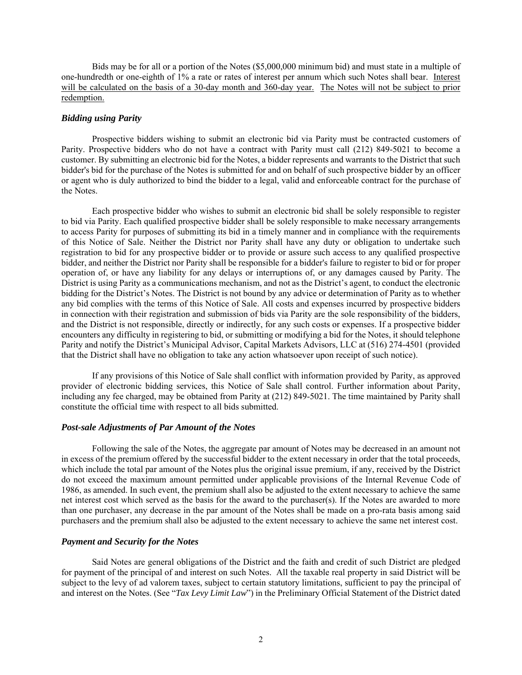Bids may be for all or a portion of the Notes (\$5,000,000 minimum bid) and must state in a multiple of one-hundredth or one-eighth of 1% a rate or rates of interest per annum which such Notes shall bear. Interest will be calculated on the basis of a 30-day month and 360-day year. The Notes will not be subject to prior redemption.

#### *Bidding using Parity*

Prospective bidders wishing to submit an electronic bid via Parity must be contracted customers of Parity. Prospective bidders who do not have a contract with Parity must call (212) 849-5021 to become a customer. By submitting an electronic bid for the Notes, a bidder represents and warrants to the District that such bidder's bid for the purchase of the Notes is submitted for and on behalf of such prospective bidder by an officer or agent who is duly authorized to bind the bidder to a legal, valid and enforceable contract for the purchase of the Notes.

Each prospective bidder who wishes to submit an electronic bid shall be solely responsible to register to bid via Parity. Each qualified prospective bidder shall be solely responsible to make necessary arrangements to access Parity for purposes of submitting its bid in a timely manner and in compliance with the requirements of this Notice of Sale. Neither the District nor Parity shall have any duty or obligation to undertake such registration to bid for any prospective bidder or to provide or assure such access to any qualified prospective bidder, and neither the District nor Parity shall be responsible for a bidder's failure to register to bid or for proper operation of, or have any liability for any delays or interruptions of, or any damages caused by Parity. The District is using Parity as a communications mechanism, and not as the District's agent, to conduct the electronic bidding for the District's Notes. The District is not bound by any advice or determination of Parity as to whether any bid complies with the terms of this Notice of Sale. All costs and expenses incurred by prospective bidders in connection with their registration and submission of bids via Parity are the sole responsibility of the bidders, and the District is not responsible, directly or indirectly, for any such costs or expenses. If a prospective bidder encounters any difficulty in registering to bid, or submitting or modifying a bid for the Notes, it should telephone Parity and notify the District's Municipal Advisor, Capital Markets Advisors, LLC at (516) 274-4501 (provided that the District shall have no obligation to take any action whatsoever upon receipt of such notice).

If any provisions of this Notice of Sale shall conflict with information provided by Parity, as approved provider of electronic bidding services, this Notice of Sale shall control. Further information about Parity, including any fee charged, may be obtained from Parity at (212) 849-5021. The time maintained by Parity shall constitute the official time with respect to all bids submitted.

#### *Post-sale Adjustments of Par Amount of the Notes*

Following the sale of the Notes, the aggregate par amount of Notes may be decreased in an amount not in excess of the premium offered by the successful bidder to the extent necessary in order that the total proceeds, which include the total par amount of the Notes plus the original issue premium, if any, received by the District do not exceed the maximum amount permitted under applicable provisions of the Internal Revenue Code of 1986, as amended. In such event, the premium shall also be adjusted to the extent necessary to achieve the same net interest cost which served as the basis for the award to the purchaser(s). If the Notes are awarded to more than one purchaser, any decrease in the par amount of the Notes shall be made on a pro-rata basis among said purchasers and the premium shall also be adjusted to the extent necessary to achieve the same net interest cost.

#### *Payment and Security for the Notes*

Said Notes are general obligations of the District and the faith and credit of such District are pledged for payment of the principal of and interest on such Notes. All the taxable real property in said District will be subject to the levy of ad valorem taxes, subject to certain statutory limitations, sufficient to pay the principal of and interest on the Notes. (See "*Tax Levy Limit Law*") in the Preliminary Official Statement of the District dated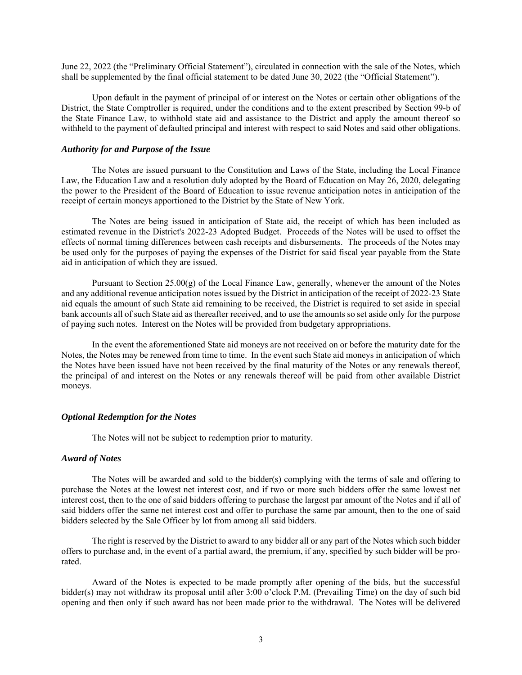June 22, 2022 (the "Preliminary Official Statement"), circulated in connection with the sale of the Notes, which shall be supplemented by the final official statement to be dated June 30, 2022 (the "Official Statement").

Upon default in the payment of principal of or interest on the Notes or certain other obligations of the District, the State Comptroller is required, under the conditions and to the extent prescribed by Section 99-b of the State Finance Law, to withhold state aid and assistance to the District and apply the amount thereof so withheld to the payment of defaulted principal and interest with respect to said Notes and said other obligations.

#### *Authority for and Purpose of the Issue*

The Notes are issued pursuant to the Constitution and Laws of the State, including the Local Finance Law, the Education Law and a resolution duly adopted by the Board of Education on May 26, 2020, delegating the power to the President of the Board of Education to issue revenue anticipation notes in anticipation of the receipt of certain moneys apportioned to the District by the State of New York.

The Notes are being issued in anticipation of State aid, the receipt of which has been included as estimated revenue in the District's 2022-23 Adopted Budget. Proceeds of the Notes will be used to offset the effects of normal timing differences between cash receipts and disbursements. The proceeds of the Notes may be used only for the purposes of paying the expenses of the District for said fiscal year payable from the State aid in anticipation of which they are issued.

Pursuant to Section  $25.00(g)$  of the Local Finance Law, generally, whenever the amount of the Notes and any additional revenue anticipation notes issued by the District in anticipation of the receipt of 2022-23 State aid equals the amount of such State aid remaining to be received, the District is required to set aside in special bank accounts all of such State aid as thereafter received, and to use the amounts so set aside only for the purpose of paying such notes. Interest on the Notes will be provided from budgetary appropriations.

In the event the aforementioned State aid moneys are not received on or before the maturity date for the Notes, the Notes may be renewed from time to time. In the event such State aid moneys in anticipation of which the Notes have been issued have not been received by the final maturity of the Notes or any renewals thereof, the principal of and interest on the Notes or any renewals thereof will be paid from other available District moneys.

## *Optional Redemption for the Notes*

The Notes will not be subject to redemption prior to maturity.

#### *Award of Notes*

The Notes will be awarded and sold to the bidder(s) complying with the terms of sale and offering to purchase the Notes at the lowest net interest cost, and if two or more such bidders offer the same lowest net interest cost, then to the one of said bidders offering to purchase the largest par amount of the Notes and if all of said bidders offer the same net interest cost and offer to purchase the same par amount, then to the one of said bidders selected by the Sale Officer by lot from among all said bidders.

The right is reserved by the District to award to any bidder all or any part of the Notes which such bidder offers to purchase and, in the event of a partial award, the premium, if any, specified by such bidder will be prorated.

Award of the Notes is expected to be made promptly after opening of the bids, but the successful bidder(s) may not withdraw its proposal until after 3:00 o'clock P.M. (Prevailing Time) on the day of such bid opening and then only if such award has not been made prior to the withdrawal. The Notes will be delivered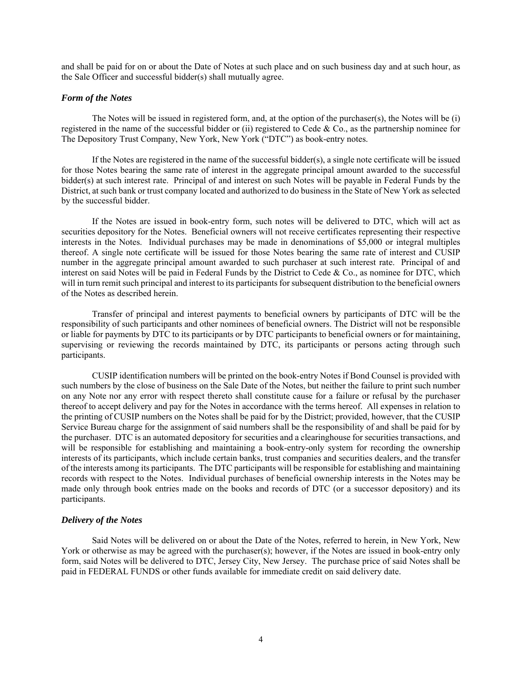and shall be paid for on or about the Date of Notes at such place and on such business day and at such hour, as the Sale Officer and successful bidder(s) shall mutually agree.

#### *Form of the Notes*

The Notes will be issued in registered form, and, at the option of the purchaser(s), the Notes will be (i) registered in the name of the successful bidder or (ii) registered to Cede & Co., as the partnership nominee for The Depository Trust Company, New York, New York ("DTC") as book-entry notes.

If the Notes are registered in the name of the successful bidder(s), a single note certificate will be issued for those Notes bearing the same rate of interest in the aggregate principal amount awarded to the successful bidder(s) at such interest rate. Principal of and interest on such Notes will be payable in Federal Funds by the District, at such bank or trust company located and authorized to do business in the State of New York as selected by the successful bidder.

If the Notes are issued in book-entry form, such notes will be delivered to DTC, which will act as securities depository for the Notes. Beneficial owners will not receive certificates representing their respective interests in the Notes. Individual purchases may be made in denominations of \$5,000 or integral multiples thereof. A single note certificate will be issued for those Notes bearing the same rate of interest and CUSIP number in the aggregate principal amount awarded to such purchaser at such interest rate. Principal of and interest on said Notes will be paid in Federal Funds by the District to Cede & Co., as nominee for DTC, which will in turn remit such principal and interest to its participants for subsequent distribution to the beneficial owners of the Notes as described herein.

Transfer of principal and interest payments to beneficial owners by participants of DTC will be the responsibility of such participants and other nominees of beneficial owners. The District will not be responsible or liable for payments by DTC to its participants or by DTC participants to beneficial owners or for maintaining, supervising or reviewing the records maintained by DTC, its participants or persons acting through such participants.

CUSIP identification numbers will be printed on the book-entry Notes if Bond Counsel is provided with such numbers by the close of business on the Sale Date of the Notes, but neither the failure to print such number on any Note nor any error with respect thereto shall constitute cause for a failure or refusal by the purchaser thereof to accept delivery and pay for the Notes in accordance with the terms hereof. All expenses in relation to the printing of CUSIP numbers on the Notes shall be paid for by the District; provided, however, that the CUSIP Service Bureau charge for the assignment of said numbers shall be the responsibility of and shall be paid for by the purchaser. DTC is an automated depository for securities and a clearinghouse for securities transactions, and will be responsible for establishing and maintaining a book-entry-only system for recording the ownership interests of its participants, which include certain banks, trust companies and securities dealers, and the transfer of the interests among its participants. The DTC participants will be responsible for establishing and maintaining records with respect to the Notes. Individual purchases of beneficial ownership interests in the Notes may be made only through book entries made on the books and records of DTC (or a successor depository) and its participants.

## *Delivery of the Notes*

Said Notes will be delivered on or about the Date of the Notes, referred to herein, in New York, New York or otherwise as may be agreed with the purchaser(s); however, if the Notes are issued in book-entry only form, said Notes will be delivered to DTC, Jersey City, New Jersey. The purchase price of said Notes shall be paid in FEDERAL FUNDS or other funds available for immediate credit on said delivery date.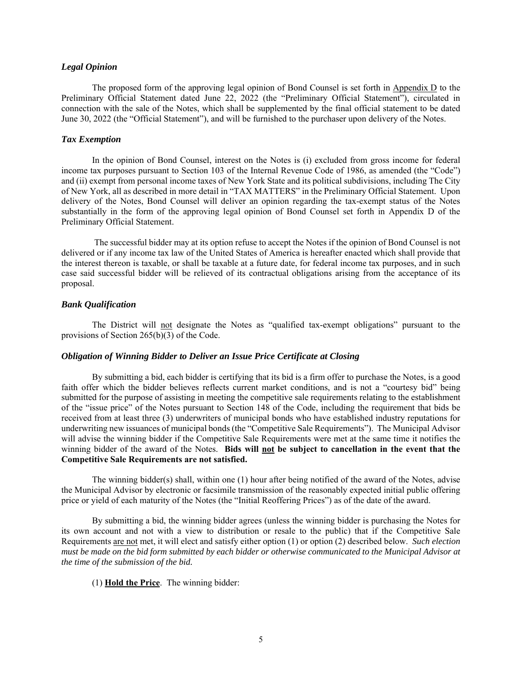#### *Legal Opinion*

The proposed form of the approving legal opinion of Bond Counsel is set forth in Appendix D to the Preliminary Official Statement dated June 22, 2022 (the "Preliminary Official Statement"), circulated in connection with the sale of the Notes, which shall be supplemented by the final official statement to be dated June 30, 2022 (the "Official Statement"), and will be furnished to the purchaser upon delivery of the Notes.

#### *Tax Exemption*

In the opinion of Bond Counsel, interest on the Notes is (i) excluded from gross income for federal income tax purposes pursuant to Section 103 of the Internal Revenue Code of 1986, as amended (the "Code") and (ii) exempt from personal income taxes of New York State and its political subdivisions, including The City of New York, all as described in more detail in "TAX MATTERS" in the Preliminary Official Statement. Upon delivery of the Notes, Bond Counsel will deliver an opinion regarding the tax-exempt status of the Notes substantially in the form of the approving legal opinion of Bond Counsel set forth in Appendix D of the Preliminary Official Statement.

 The successful bidder may at its option refuse to accept the Notes if the opinion of Bond Counsel is not delivered or if any income tax law of the United States of America is hereafter enacted which shall provide that the interest thereon is taxable, or shall be taxable at a future date, for federal income tax purposes, and in such case said successful bidder will be relieved of its contractual obligations arising from the acceptance of its proposal.

#### *Bank Qualification*

The District will not designate the Notes as "qualified tax-exempt obligations" pursuant to the provisions of Section 265(b)(3) of the Code.

## *Obligation of Winning Bidder to Deliver an Issue Price Certificate at Closing*

By submitting a bid, each bidder is certifying that its bid is a firm offer to purchase the Notes, is a good faith offer which the bidder believes reflects current market conditions, and is not a "courtesy bid" being submitted for the purpose of assisting in meeting the competitive sale requirements relating to the establishment of the "issue price" of the Notes pursuant to Section 148 of the Code, including the requirement that bids be received from at least three (3) underwriters of municipal bonds who have established industry reputations for underwriting new issuances of municipal bonds (the "Competitive Sale Requirements"). The Municipal Advisor will advise the winning bidder if the Competitive Sale Requirements were met at the same time it notifies the winning bidder of the award of the Notes. **Bids will not be subject to cancellation in the event that the Competitive Sale Requirements are not satisfied.**

The winning bidder(s) shall, within one  $(1)$  hour after being notified of the award of the Notes, advise the Municipal Advisor by electronic or facsimile transmission of the reasonably expected initial public offering price or yield of each maturity of the Notes (the "Initial Reoffering Prices") as of the date of the award.

By submitting a bid, the winning bidder agrees (unless the winning bidder is purchasing the Notes for its own account and not with a view to distribution or resale to the public) that if the Competitive Sale Requirements are not met, it will elect and satisfy either option (1) or option (2) described below. *Such election must be made on the bid form submitted by each bidder or otherwise communicated to the Municipal Advisor at the time of the submission of the bid.*

(1) **Hold the Price**. The winning bidder: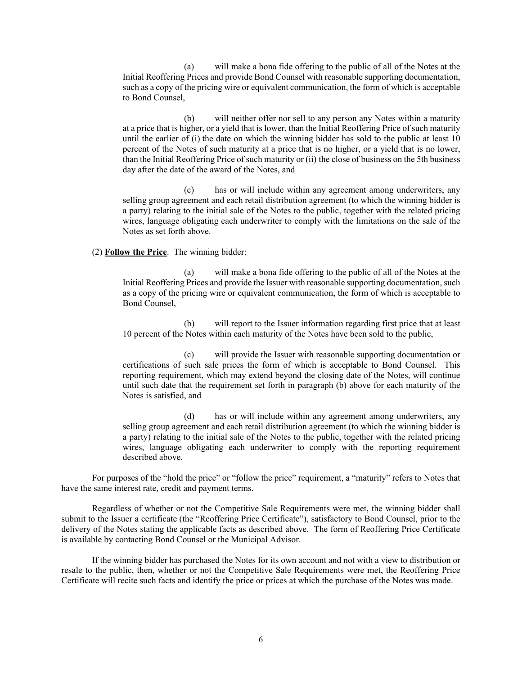(a) will make a bona fide offering to the public of all of the Notes at the Initial Reoffering Prices and provide Bond Counsel with reasonable supporting documentation, such as a copy of the pricing wire or equivalent communication, the form of which is acceptable to Bond Counsel,

(b) will neither offer nor sell to any person any Notes within a maturity at a price that is higher, or a yield that is lower, than the Initial Reoffering Price of such maturity until the earlier of (i) the date on which the winning bidder has sold to the public at least 10 percent of the Notes of such maturity at a price that is no higher, or a yield that is no lower, than the Initial Reoffering Price of such maturity or (ii) the close of business on the 5th business day after the date of the award of the Notes, and

(c) has or will include within any agreement among underwriters, any selling group agreement and each retail distribution agreement (to which the winning bidder is a party) relating to the initial sale of the Notes to the public, together with the related pricing wires, language obligating each underwriter to comply with the limitations on the sale of the Notes as set forth above.

## (2) **Follow the Price**. The winning bidder:

(a) will make a bona fide offering to the public of all of the Notes at the Initial Reoffering Prices and provide the Issuer with reasonable supporting documentation, such as a copy of the pricing wire or equivalent communication, the form of which is acceptable to Bond Counsel,

(b) will report to the Issuer information regarding first price that at least 10 percent of the Notes within each maturity of the Notes have been sold to the public,

(c) will provide the Issuer with reasonable supporting documentation or certifications of such sale prices the form of which is acceptable to Bond Counsel. This reporting requirement, which may extend beyond the closing date of the Notes, will continue until such date that the requirement set forth in paragraph (b) above for each maturity of the Notes is satisfied, and

(d) has or will include within any agreement among underwriters, any selling group agreement and each retail distribution agreement (to which the winning bidder is a party) relating to the initial sale of the Notes to the public, together with the related pricing wires, language obligating each underwriter to comply with the reporting requirement described above.

For purposes of the "hold the price" or "follow the price" requirement, a "maturity" refers to Notes that have the same interest rate, credit and payment terms.

Regardless of whether or not the Competitive Sale Requirements were met, the winning bidder shall submit to the Issuer a certificate (the "Reoffering Price Certificate"), satisfactory to Bond Counsel, prior to the delivery of the Notes stating the applicable facts as described above. The form of Reoffering Price Certificate is available by contacting Bond Counsel or the Municipal Advisor.

If the winning bidder has purchased the Notes for its own account and not with a view to distribution or resale to the public, then, whether or not the Competitive Sale Requirements were met, the Reoffering Price Certificate will recite such facts and identify the price or prices at which the purchase of the Notes was made.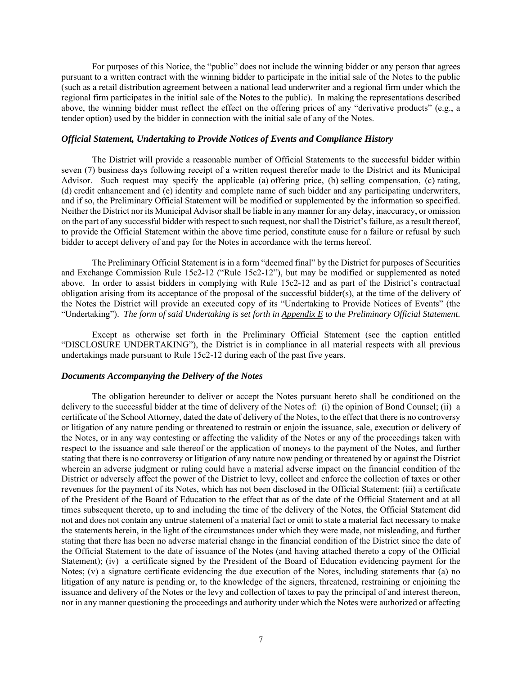For purposes of this Notice, the "public" does not include the winning bidder or any person that agrees pursuant to a written contract with the winning bidder to participate in the initial sale of the Notes to the public (such as a retail distribution agreement between a national lead underwriter and a regional firm under which the regional firm participates in the initial sale of the Notes to the public). In making the representations described above, the winning bidder must reflect the effect on the offering prices of any "derivative products" (e.g., a tender option) used by the bidder in connection with the initial sale of any of the Notes.

#### *Official Statement, Undertaking to Provide Notices of Events and Compliance History*

The District will provide a reasonable number of Official Statements to the successful bidder within seven (7) business days following receipt of a written request therefor made to the District and its Municipal Advisor. Such request may specify the applicable (a) offering price, (b) selling compensation, (c) rating, (d) credit enhancement and (e) identity and complete name of such bidder and any participating underwriters, and if so, the Preliminary Official Statement will be modified or supplemented by the information so specified. Neither the District nor its Municipal Advisor shall be liable in any manner for any delay, inaccuracy, or omission on the part of any successful bidder with respect to such request, nor shall the District's failure, as a result thereof, to provide the Official Statement within the above time period, constitute cause for a failure or refusal by such bidder to accept delivery of and pay for the Notes in accordance with the terms hereof.

The Preliminary Official Statement is in a form "deemed final" by the District for purposes of Securities and Exchange Commission Rule 15c2-12 ("Rule 15c2-12"), but may be modified or supplemented as noted above. In order to assist bidders in complying with Rule 15c2-12 and as part of the District's contractual obligation arising from its acceptance of the proposal of the successful bidder(s), at the time of the delivery of the Notes the District will provide an executed copy of its "Undertaking to Provide Notices of Events" (the "Undertaking"). *The form of said Undertaking is set forth in Appendix E to the Preliminary Official Statement.*

Except as otherwise set forth in the Preliminary Official Statement (see the caption entitled "DISCLOSURE UNDERTAKING"), the District is in compliance in all material respects with all previous undertakings made pursuant to Rule 15c2-12 during each of the past five years.

## *Documents Accompanying the Delivery of the Notes*

The obligation hereunder to deliver or accept the Notes pursuant hereto shall be conditioned on the delivery to the successful bidder at the time of delivery of the Notes of: (i) the opinion of Bond Counsel; (ii) a certificate of the School Attorney, dated the date of delivery of the Notes, to the effect that there is no controversy or litigation of any nature pending or threatened to restrain or enjoin the issuance, sale, execution or delivery of the Notes, or in any way contesting or affecting the validity of the Notes or any of the proceedings taken with respect to the issuance and sale thereof or the application of moneys to the payment of the Notes, and further stating that there is no controversy or litigation of any nature now pending or threatened by or against the District wherein an adverse judgment or ruling could have a material adverse impact on the financial condition of the District or adversely affect the power of the District to levy, collect and enforce the collection of taxes or other revenues for the payment of its Notes, which has not been disclosed in the Official Statement; (iii) a certificate of the President of the Board of Education to the effect that as of the date of the Official Statement and at all times subsequent thereto, up to and including the time of the delivery of the Notes, the Official Statement did not and does not contain any untrue statement of a material fact or omit to state a material fact necessary to make the statements herein, in the light of the circumstances under which they were made, not misleading, and further stating that there has been no adverse material change in the financial condition of the District since the date of the Official Statement to the date of issuance of the Notes (and having attached thereto a copy of the Official Statement); (iv) a certificate signed by the President of the Board of Education evidencing payment for the Notes; (v) a signature certificate evidencing the due execution of the Notes, including statements that (a) no litigation of any nature is pending or, to the knowledge of the signers, threatened, restraining or enjoining the issuance and delivery of the Notes or the levy and collection of taxes to pay the principal of and interest thereon, nor in any manner questioning the proceedings and authority under which the Notes were authorized or affecting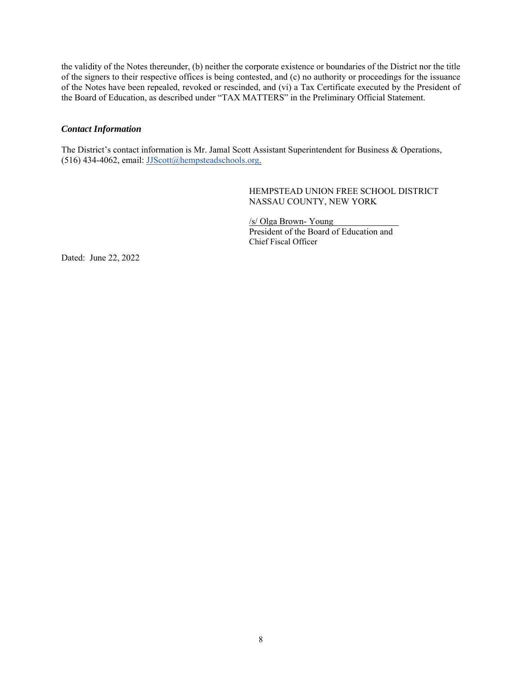the validity of the Notes thereunder, (b) neither the corporate existence or boundaries of the District nor the title of the signers to their respective offices is being contested, and (c) no authority or proceedings for the issuance of the Notes have been repealed, revoked or rescinded, and (vi) a Tax Certificate executed by the President of the Board of Education, as described under "TAX MATTERS" in the Preliminary Official Statement.

## *Contact Information*

The District's contact information is Mr. Jamal Scott Assistant Superintendent for Business & Operations, (516) 434-4062, email: JJScott@hempsteadschools.org.

> HEMPSTEAD UNION FREE SCHOOL DISTRICT NASSAU COUNTY, NEW YORK

/s/ Olga Brown- Young President of the Board of Education and Chief Fiscal Officer

Dated: June 22, 2022